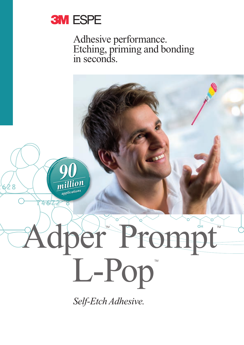

Adhesive performance. Etching, priming and bonding in seconds.

*million* **ג ל** *applications* dper Prompt L-Pop<sup>T</sup> *Self-Etch Adhesive.*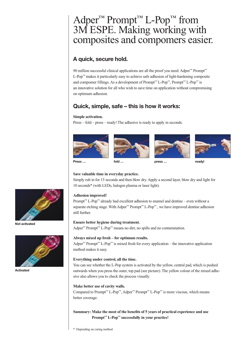## Adper<sup>™</sup> Prompt<sup>™</sup> L-Pop<sup>™</sup> from 3M ESPE. Making working with composites and compomers easier.

## **A quick, secure hold.**

90 million successful clinical applications are all the proof you need: Adper™ Prompt™ L-Pop™ makes it particularly easy to achieve safe adhesion of light-hardening composite and compomer fillings. As a development of Prompt™ L-Pop™, Prompt™ L-Pop™ is an innovative solution for all who wish to save time on application without compromising on optimum adhesion.

## **Quick, simple, safe – this is how it works:**

#### **Simple activation.**

Press – fold – press – ready! The adhesive is ready to apply in seconds.









**Press … fold … press … ready!**

#### **Save valuable time in everyday practice.**

Simply rub in for 15 seconds and then blow dry. Apply a second layer, blow dry and light for 10 seconds\* (with LEDs, halogen plasma or laser light).

#### **Adhesion improved!**

Prompt<sup>™</sup> L-Pop<sup>™</sup> already had excellent adhesion to enamel and dentine – even without a separate etching stage. With Adper™ Prompt™ L-Pop™, we have improved dentine adhesion still further.

#### **Ensure better hygiene during treatment.**

Adper<sup>™</sup> Prompt<sup>™</sup> L-Pop™ means no dirt, no spills and no contamination.

#### **Always mixed up fresh – for optimum results.**

Adper<sup>™</sup> Prompt<sup>™</sup> L-Pop<sup>™</sup> is mixed fresh for every application – the innovative application method makes it easy.

#### **Everything under control, all the time.**

You can see whether the L-Pop system is activated by the yellow, central pad, which is pushed outwards when you press the outer, top pad (see picture). The yellow colour of the mixed adhesive also allows you to check the process visually.

#### **Make better use of cavity walls.**

Compared to Prompt™ L-Pop™, Adper™ Prompt™ L-Pop™ is more viscous, which means better coverage.

#### **Summary: Make the most of the benefits of 5 years of practical experience and use Prompt™ L-Pop™ successfully in your practice!**

\* Depending on curing method



**Not activated**



**Activated**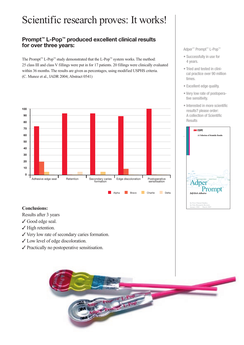# Scientific research proves: It works! Scientific research proves: It works!

## **Prompt™ L-Pop™ produced excellent clinical results Prompt™ L-Pop™ produced excellent clinical results for over three years: for over three years:**

The Prompt™ L-Pop™ study demonstrated that the L-Pop™ system works. The method: 25 class III and class V fillings were put in for 17 patients. 20 fillings were clinically evaluated 25 class III and class V fillings were put in for 17 patients. 20 fillings were clinically evaluated within 36 months. The results are given as percentages, using modified USPHS criteria. within 36 months. The results are given as percentages, using modified USPHS criteria. (C. Munoz et al., IADR 2004; Abstract 0541) (C. Munoz et al., IADR 2004; Abstract 0541)



#### **Conclusions: Conclusions:**

Results after 3 years Results after 3 years

- ✓ Good edge seal. ✓ Good edge seal.
- ✓ High retention. ✓ High retention.
- ✓ Very low rate of secondary caries formation. ✓ Very low rate of secondary caries formation.
- ✓ Low level of edge discoloration. ✓ Low level of edge discoloration.
- ✓ Practically no postoperative sensitisation. ✓ Practically no postoperative sensitisation.



#### Adper™ Prompt™ L-Pop™ Adper™ Prompt™ L-Pop™

- Successfully in use for Successfully in use for 4 years. 4 years.
- Tried and tested in clini-• Tried and tested in clinical practice over 90 million cal practice over 90 million times. times.
- Excellent edge quality. Excellent edge quality.
- Very low rate of postopera-• Very low rate of postoperative sensitivity. tive sensitivity.
- Interested in more scientific Interested in more scientific results? please order: results? please order: A collection of Scientific A collection of Scientific Results Results